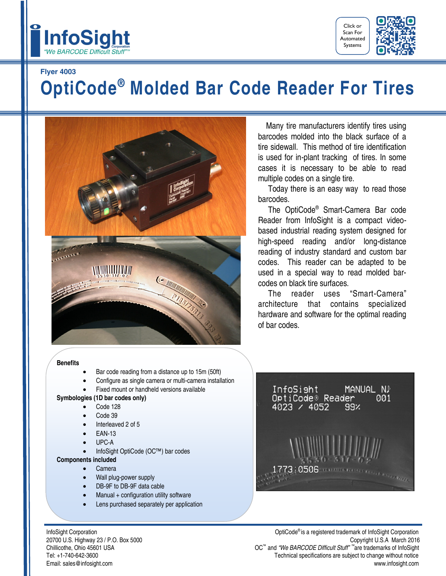



## **Flyer 4003**

# **OptiCode® Molded Bar Code Reader For Tires**



#### **Benefits**

- Bar code reading from a distance up to 15m (50ft)
- Configure as single camera or multi-camera installation
- Fixed mount or handheld versions available

### **Symbologies (1D bar codes only)**

- Code 128
- Code 39
- Interleaved 2 of 5
- EAN-13
- UPC-A
- InfoSight OptiCode (OC™) bar codes
- **Components included**
	- Camera
	- Wall plug-power supply
	- DB-9F to DB-9F data cable
	- Manual + configuration utility software
	- Lens purchased separately per application

Chillicothe, Ohio 45601 USA

 Many tire manufacturers identify tires using barcodes molded into the black surface of a tire sidewall. This method of tire identification is used for in-plant tracking of tires. In some cases it is necessary to be able to read multiple codes on a single tire.

 Today there is an easy way to read those barcodes.

 The OptiCode® Smart-Camera Bar code Reader from InfoSight is a compact videobased industrial reading system designed for high-speed reading and/or long-distance reading of industry standard and custom bar codes. This reader can be adapted to be used in a special way to read molded barcodes on black tire surfaces.

 The reader uses "Smart-Camera" architecture that contains specialized hardware and software for the optimal reading of bar codes.



InfoSight Corporation **InfoSight Corporation** OptiCode<sup>®</sup> is a registered trademark of InfoSight Corporation 20700 U.S. Highway 23 / P.O. Box 5000 Copyright U.S.A March 2016 and *"We BARCODE Difficult Stuff" ™* are trademarks of InfoSight Tel: +1-740-642-3600 Technical specifications are subject to change without notice Email: sales@infosight.com www.infosight.com